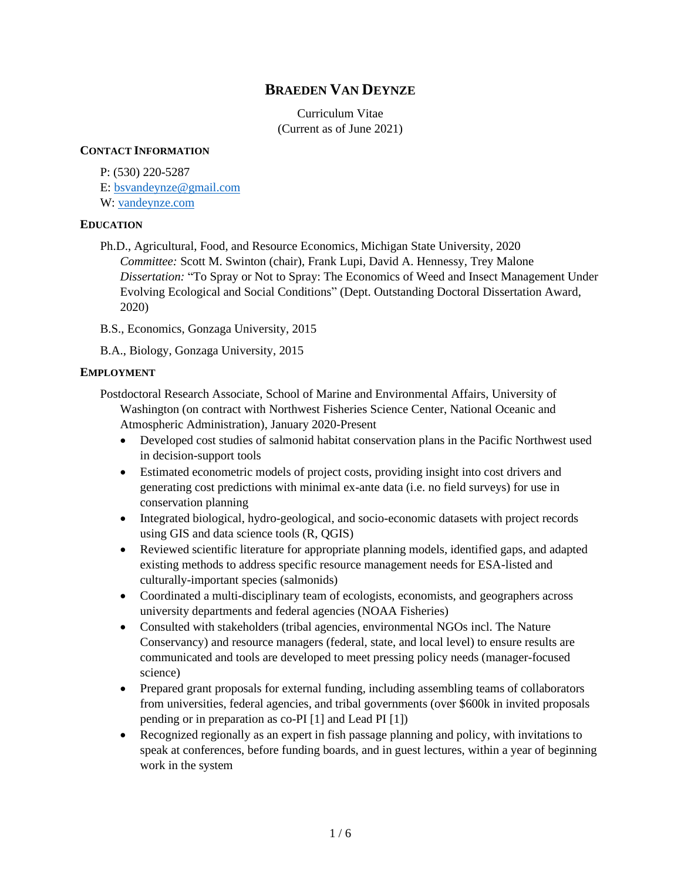# **BRAEDEN VAN DEYNZE**

Curriculum Vitae (Current as of June 2021)

#### **CONTACT INFORMATION**

P: (530) 220-5287 E: [bsvandeynze@gmail.com](mailto:bsvandeynze@gmail.com) W: [vandeynze.com](https://vandeynze.com/)

#### **EDUCATION**

Ph.D., Agricultural, Food, and Resource Economics, Michigan State University, 2020 *Committee:* Scott M. Swinton (chair), Frank Lupi, David A. Hennessy, Trey Malone *Dissertation:* "To Spray or Not to Spray: The Economics of Weed and Insect Management Under Evolving Ecological and Social Conditions" (Dept. Outstanding Doctoral Dissertation Award, 2020)

B.S., Economics, Gonzaga University, 2015

B.A., Biology, Gonzaga University, 2015

#### **EMPLOYMENT**

Postdoctoral Research Associate, School of Marine and Environmental Affairs, University of Washington (on contract with Northwest Fisheries Science Center, National Oceanic and Atmospheric Administration), January 2020-Present

- Developed cost studies of salmonid habitat conservation plans in the Pacific Northwest used in decision-support tools
- Estimated econometric models of project costs, providing insight into cost drivers and generating cost predictions with minimal ex-ante data (i.e. no field surveys) for use in conservation planning
- Integrated biological, hydro-geological, and socio-economic datasets with project records using GIS and data science tools (R, QGIS)
- Reviewed scientific literature for appropriate planning models, identified gaps, and adapted existing methods to address specific resource management needs for ESA-listed and culturally-important species (salmonids)
- Coordinated a multi-disciplinary team of ecologists, economists, and geographers across university departments and federal agencies (NOAA Fisheries)
- Consulted with stakeholders (tribal agencies, environmental NGOs incl. The Nature Conservancy) and resource managers (federal, state, and local level) to ensure results are communicated and tools are developed to meet pressing policy needs (manager-focused science)
- Prepared grant proposals for external funding, including assembling teams of collaborators from universities, federal agencies, and tribal governments (over \$600k in invited proposals pending or in preparation as co-PI [1] and Lead PI [1])
- Recognized regionally as an expert in fish passage planning and policy, with invitations to speak at conferences, before funding boards, and in guest lectures, within a year of beginning work in the system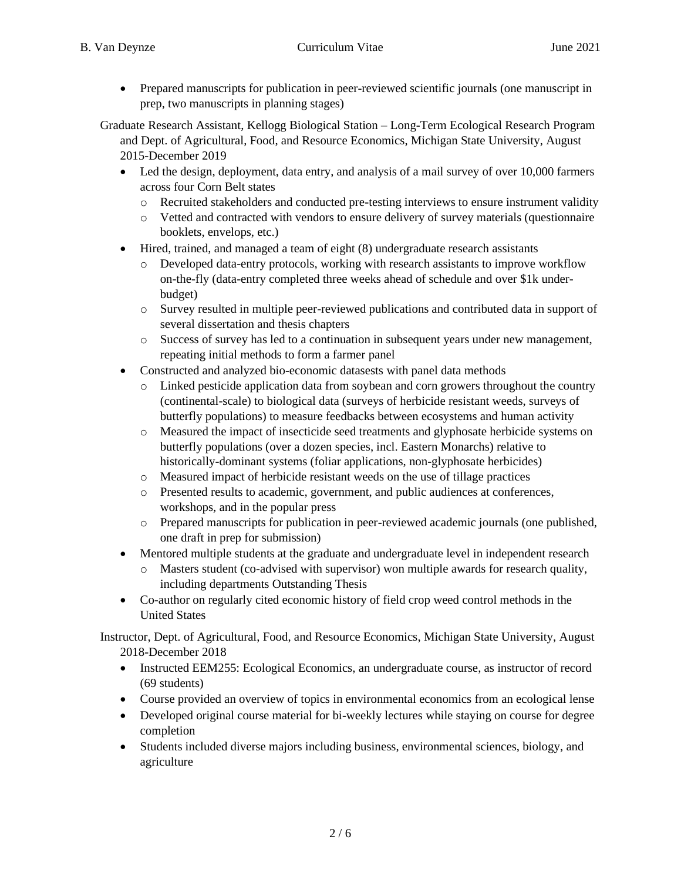- Prepared manuscripts for publication in peer-reviewed scientific journals (one manuscript in prep, two manuscripts in planning stages)
- Graduate Research Assistant, Kellogg Biological Station Long-Term Ecological Research Program and Dept. of Agricultural, Food, and Resource Economics, Michigan State University, August 2015-December 2019
	- Led the design, deployment, data entry, and analysis of a mail survey of over 10,000 farmers across four Corn Belt states
		- o Recruited stakeholders and conducted pre-testing interviews to ensure instrument validity
		- o Vetted and contracted with vendors to ensure delivery of survey materials (questionnaire booklets, envelops, etc.)
	- Hired, trained, and managed a team of eight (8) undergraduate research assistants
		- o Developed data-entry protocols, working with research assistants to improve workflow on-the-fly (data-entry completed three weeks ahead of schedule and over \$1k underbudget)
		- o Survey resulted in multiple peer-reviewed publications and contributed data in support of several dissertation and thesis chapters
		- o Success of survey has led to a continuation in subsequent years under new management, repeating initial methods to form a farmer panel
	- Constructed and analyzed bio-economic datasests with panel data methods
		- o Linked pesticide application data from soybean and corn growers throughout the country (continental-scale) to biological data (surveys of herbicide resistant weeds, surveys of butterfly populations) to measure feedbacks between ecosystems and human activity
		- o Measured the impact of insecticide seed treatments and glyphosate herbicide systems on butterfly populations (over a dozen species, incl. Eastern Monarchs) relative to historically-dominant systems (foliar applications, non-glyphosate herbicides)
		- o Measured impact of herbicide resistant weeds on the use of tillage practices
		- o Presented results to academic, government, and public audiences at conferences, workshops, and in the popular press
		- o Prepared manuscripts for publication in peer-reviewed academic journals (one published, one draft in prep for submission)
	- Mentored multiple students at the graduate and undergraduate level in independent research
		- o Masters student (co-advised with supervisor) won multiple awards for research quality, including departments Outstanding Thesis
	- Co-author on regularly cited economic history of field crop weed control methods in the United States

Instructor, Dept. of Agricultural, Food, and Resource Economics, Michigan State University, August 2018-December 2018

- Instructed EEM255: Ecological Economics, an undergraduate course, as instructor of record (69 students)
- Course provided an overview of topics in environmental economics from an ecological lense
- Developed original course material for bi-weekly lectures while staying on course for degree completion
- Students included diverse majors including business, environmental sciences, biology, and agriculture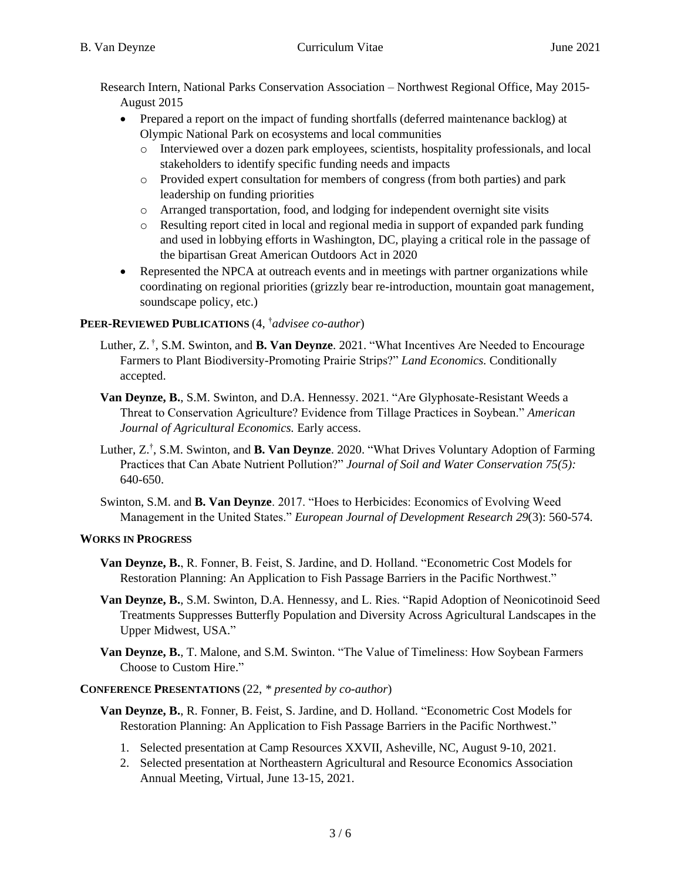Research Intern, National Parks Conservation Association – Northwest Regional Office, May 2015- August 2015

- Prepared a report on the impact of funding shortfalls (deferred maintenance backlog) at Olympic National Park on ecosystems and local communities
	- o Interviewed over a dozen park employees, scientists, hospitality professionals, and local stakeholders to identify specific funding needs and impacts
	- o Provided expert consultation for members of congress (from both parties) and park leadership on funding priorities
	- o Arranged transportation, food, and lodging for independent overnight site visits
	- o Resulting report cited in local and regional media in support of expanded park funding and used in lobbying efforts in Washington, DC, playing a critical role in the passage of the bipartisan Great American Outdoors Act in 2020
- Represented the NPCA at outreach events and in meetings with partner organizations while coordinating on regional priorities (grizzly bear re-introduction, mountain goat management, soundscape policy, etc.)

# **PEER-REVIEWED PUBLICATIONS** (4, †*advisee co-author*)

- Luther, Z.<sup>†</sup>, S.M. Swinton, and **B. Van Deynze**. 2021. "What Incentives Are Needed to Encourage Farmers to Plant Biodiversity-Promoting Prairie Strips?" *Land Economics.* Conditionally accepted.
- **Van Deynze, B.**, S.M. Swinton, and D.A. Hennessy. 2021. "Are Glyphosate-Resistant Weeds a Threat to Conservation Agriculture? Evidence from Tillage Practices in Soybean." *American Journal of Agricultural Economics.* Early access.
- Luther, Z.† , S.M. Swinton, and **B. Van Deynze**. 2020. "What Drives Voluntary Adoption of Farming Practices that Can Abate Nutrient Pollution?" *Journal of Soil and Water Conservation 75(5):*  640-650.
- Swinton, S.M. and **B. Van Deynze**. 2017. "Hoes to Herbicides: Economics of Evolving Weed Management in the United States." *European Journal of Development Research 29*(3): 560-574.

# **WORKS IN PROGRESS**

- **Van Deynze, B.**, R. Fonner, B. Feist, S. Jardine, and D. Holland. "Econometric Cost Models for Restoration Planning: An Application to Fish Passage Barriers in the Pacific Northwest."
- **Van Deynze, B.**, S.M. Swinton, D.A. Hennessy, and L. Ries. "Rapid Adoption of Neonicotinoid Seed Treatments Suppresses Butterfly Population and Diversity Across Agricultural Landscapes in the Upper Midwest, USA."
- **Van Deynze, B.**, T. Malone, and S.M. Swinton. "The Value of Timeliness: How Soybean Farmers Choose to Custom Hire."

# **CONFERENCE PRESENTATIONS** (22, *\* presented by co-author*)

- **Van Deynze, B.**, R. Fonner, B. Feist, S. Jardine, and D. Holland. "Econometric Cost Models for Restoration Planning: An Application to Fish Passage Barriers in the Pacific Northwest."
	- 1. Selected presentation at Camp Resources XXVII, Asheville, NC, August 9-10, 2021.
	- 2. Selected presentation at Northeastern Agricultural and Resource Economics Association Annual Meeting, Virtual, June 13-15, 2021.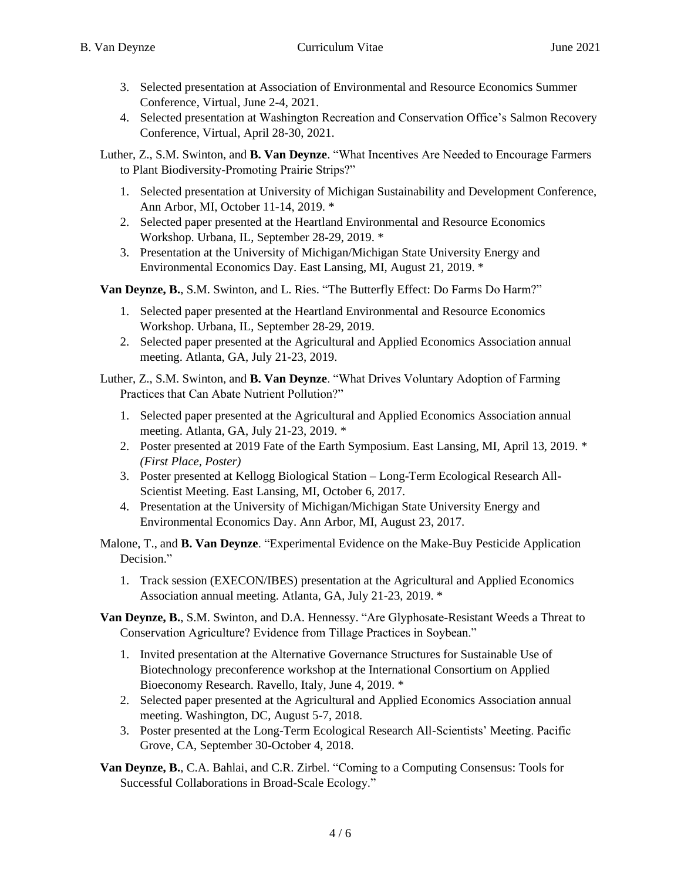- 3. Selected presentation at Association of Environmental and Resource Economics Summer Conference, Virtual, June 2-4, 2021.
- 4. Selected presentation at Washington Recreation and Conservation Office's Salmon Recovery Conference, Virtual, April 28-30, 2021.

Luther, Z., S.M. Swinton, and **B. Van Deynze**. "What Incentives Are Needed to Encourage Farmers to Plant Biodiversity-Promoting Prairie Strips?"

- 1. Selected presentation at University of Michigan Sustainability and Development Conference, Ann Arbor, MI, October 11-14, 2019. \*
- 2. Selected paper presented at the Heartland Environmental and Resource Economics Workshop. Urbana, IL, September 28-29, 2019. \*
- 3. Presentation at the University of Michigan/Michigan State University Energy and Environmental Economics Day. East Lansing, MI, August 21, 2019. \*

**Van Deynze, B.**, S.M. Swinton, and L. Ries. "The Butterfly Effect: Do Farms Do Harm?"

- 1. Selected paper presented at the Heartland Environmental and Resource Economics Workshop. Urbana, IL, September 28-29, 2019.
- 2. Selected paper presented at the Agricultural and Applied Economics Association annual meeting. Atlanta, GA, July 21-23, 2019.

Luther, Z., S.M. Swinton, and **B. Van Deynze**. "What Drives Voluntary Adoption of Farming Practices that Can Abate Nutrient Pollution?"

- 1. Selected paper presented at the Agricultural and Applied Economics Association annual meeting. Atlanta, GA, July 21-23, 2019. \*
- 2. Poster presented at 2019 Fate of the Earth Symposium. East Lansing, MI, April 13, 2019. \* *(First Place, Poster)*
- 3. Poster presented at Kellogg Biological Station Long-Term Ecological Research All-Scientist Meeting. East Lansing, MI, October 6, 2017.
- 4. Presentation at the University of Michigan/Michigan State University Energy and Environmental Economics Day. Ann Arbor, MI, August 23, 2017.

Malone, T., and **B. Van Deynze**. "Experimental Evidence on the Make-Buy Pesticide Application Decision."

1. Track session (EXECON/IBES) presentation at the Agricultural and Applied Economics Association annual meeting. Atlanta, GA, July 21-23, 2019. \*

**Van Deynze, B.**, S.M. Swinton, and D.A. Hennessy. "Are Glyphosate-Resistant Weeds a Threat to Conservation Agriculture? Evidence from Tillage Practices in Soybean."

- 1. Invited presentation at the Alternative Governance Structures for Sustainable Use of Biotechnology preconference workshop at the International Consortium on Applied Bioeconomy Research. Ravello, Italy, June 4, 2019. \*
- 2. Selected paper presented at the Agricultural and Applied Economics Association annual meeting. Washington, DC, August 5-7, 2018.
- 3. Poster presented at the Long-Term Ecological Research All-Scientists' Meeting. Pacific Grove, CA, September 30-October 4, 2018.

**Van Deynze, B.**, C.A. Bahlai, and C.R. Zirbel. "Coming to a Computing Consensus: Tools for Successful Collaborations in Broad-Scale Ecology."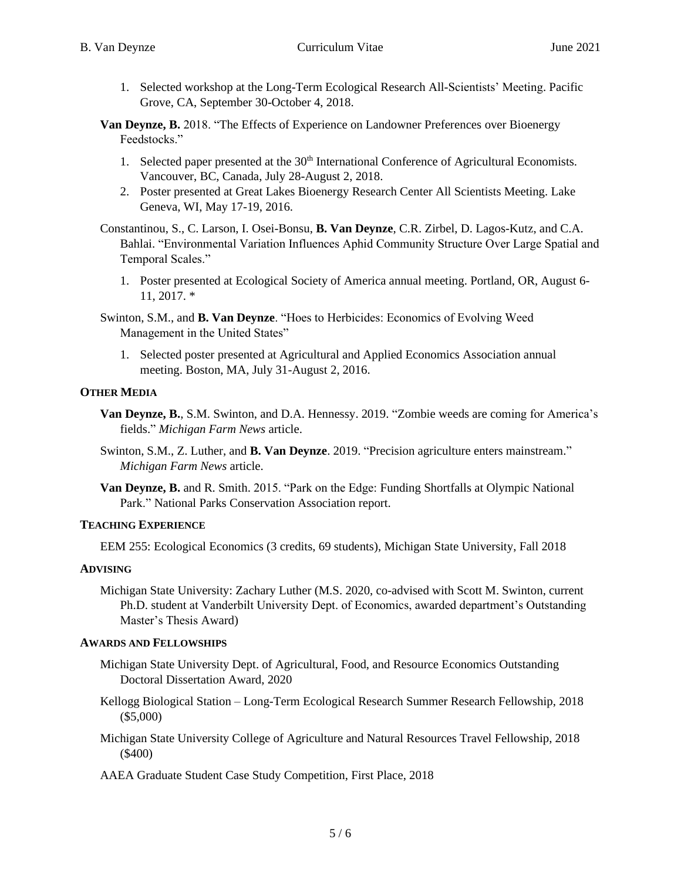1. Selected workshop at the Long-Term Ecological Research All-Scientists' Meeting. Pacific Grove, CA, September 30-October 4, 2018.

**Van Deynze, B.** 2018. "The Effects of Experience on Landowner Preferences over Bioenergy Feedstocks."

- 1. Selected paper presented at the 30<sup>th</sup> International Conference of Agricultural Economists. Vancouver, BC, Canada, July 28-August 2, 2018.
- 2. Poster presented at Great Lakes Bioenergy Research Center All Scientists Meeting. Lake Geneva, WI, May 17-19, 2016.
- Constantinou, S., C. Larson, I. Osei-Bonsu, **B. Van Deynze**, C.R. Zirbel, D. Lagos-Kutz, and C.A. Bahlai. "Environmental Variation Influences Aphid Community Structure Over Large Spatial and Temporal Scales."
	- 1. Poster presented at Ecological Society of America annual meeting. Portland, OR, August 6- 11, 2017. \*
- Swinton, S.M., and **B. Van Deynze**. "Hoes to Herbicides: Economics of Evolving Weed Management in the United States"
	- 1. Selected poster presented at Agricultural and Applied Economics Association annual meeting. Boston, MA, July 31-August 2, 2016.

### **OTHER MEDIA**

- **Van Deynze, B.**, S.M. Swinton, and D.A. Hennessy. 2019. "Zombie weeds are coming for America's fields." *Michigan Farm News* article.
- Swinton, S.M., Z. Luther, and **B. Van Deynze**. 2019. "Precision agriculture enters mainstream." *Michigan Farm News* article.
- **Van Deynze, B.** and R. Smith. 2015. "Park on the Edge: Funding Shortfalls at Olympic National Park." National Parks Conservation Association report.

#### **TEACHING EXPERIENCE**

EEM 255: Ecological Economics (3 credits, 69 students), Michigan State University, Fall 2018

#### **ADVISING**

Michigan State University: Zachary Luther (M.S. 2020, co-advised with Scott M. Swinton, current Ph.D. student at Vanderbilt University Dept. of Economics, awarded department's Outstanding Master's Thesis Award)

# **AWARDS AND FELLOWSHIPS**

- Michigan State University Dept. of Agricultural, Food, and Resource Economics Outstanding Doctoral Dissertation Award, 2020
- Kellogg Biological Station Long-Term Ecological Research Summer Research Fellowship, 2018 (\$5,000)
- Michigan State University College of Agriculture and Natural Resources Travel Fellowship, 2018 (\$400)

AAEA Graduate Student Case Study Competition, First Place, 2018